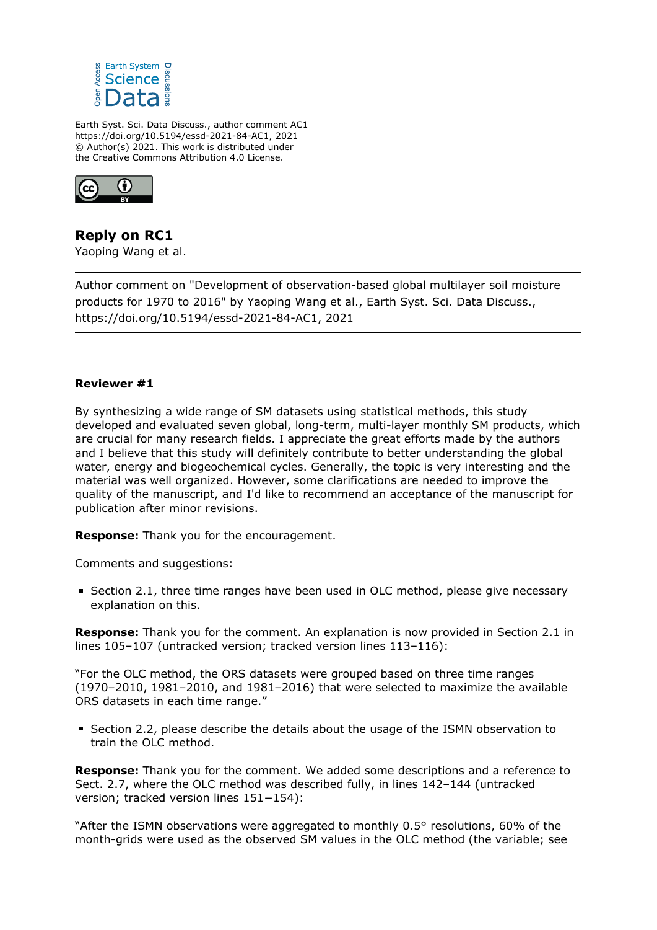

Earth Syst. Sci. Data Discuss., author comment AC1 https://doi.org/10.5194/essd-2021-84-AC1, 2021 © Author(s) 2021. This work is distributed under the Creative Commons Attribution 4.0 License.



**Reply on RC1** Yaoping Wang et al.

Author comment on "Development of observation-based global multilayer soil moisture products for 1970 to 2016" by Yaoping Wang et al., Earth Syst. Sci. Data Discuss., https://doi.org/10.5194/essd-2021-84-AC1, 2021

## **Reviewer #1**

By synthesizing a wide range of SM datasets using statistical methods, this study developed and evaluated seven global, long-term, multi-layer monthly SM products, which are crucial for many research fields. I appreciate the great efforts made by the authors and I believe that this study will definitely contribute to better understanding the global water, energy and biogeochemical cycles. Generally, the topic is very interesting and the material was well organized. However, some clarifications are needed to improve the quality of the manuscript, and I'd like to recommend an acceptance of the manuscript for publication after minor revisions.

**Response:** Thank you for the encouragement.

Comments and suggestions:

**Section 2.1, three time ranges have been used in OLC method, please give necessary** explanation on this.

**Response:** Thank you for the comment. An explanation is now provided in Section 2.1 in lines 105–107 (untracked version; tracked version lines 113–116):

"For the OLC method, the ORS datasets were grouped based on three time ranges (1970–2010, 1981–2010, and 1981–2016) that were selected to maximize the available ORS datasets in each time range."

Section 2.2, please describe the details about the usage of the ISMN observation to train the OLC method.

**Response:** Thank you for the comment. We added some descriptions and a reference to Sect. 2.7, where the OLC method was described fully, in lines 142–144 (untracked version; tracked version lines 151−154):

"After the ISMN observations were aggregated to monthly 0.5° resolutions, 60% of the month-grids were used as the observed SM values in the OLC method (the variable; see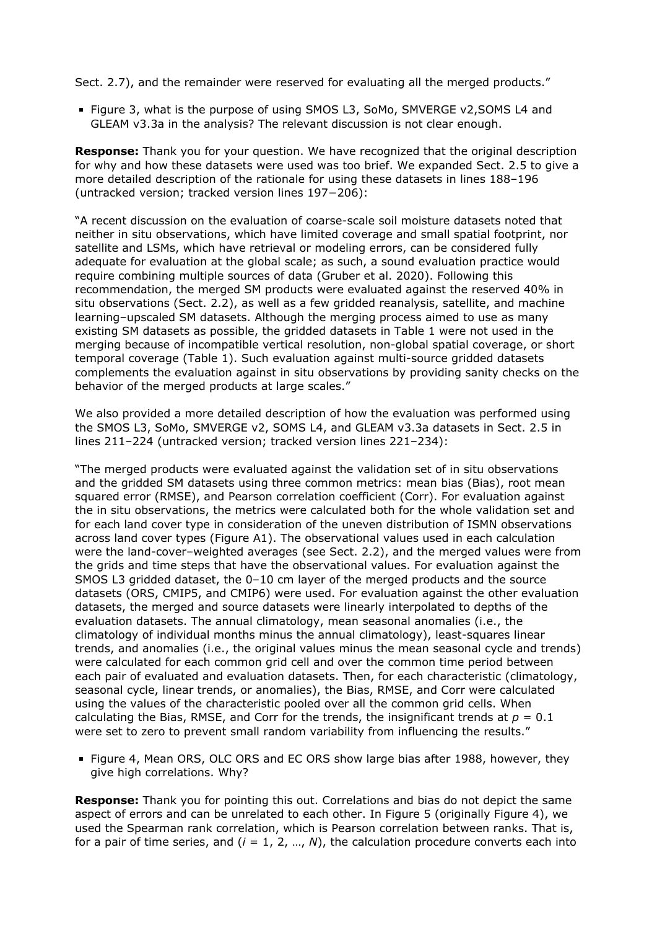Sect. 2.7), and the remainder were reserved for evaluating all the merged products."

Figure 3, what is the purpose of using SMOS L3, SoMo, SMVERGE v2,SOMS L4 and GLEAM v3.3a in the analysis? The relevant discussion is not clear enough.

**Response:** Thank you for your question. We have recognized that the original description for why and how these datasets were used was too brief. We expanded Sect. 2.5 to give a more detailed description of the rationale for using these datasets in lines 188–196 (untracked version; tracked version lines 197−206):

"A recent discussion on the evaluation of coarse-scale soil moisture datasets noted that neither in situ observations, which have limited coverage and small spatial footprint, nor satellite and LSMs, which have retrieval or modeling errors, can be considered fully adequate for evaluation at the global scale; as such, a sound evaluation practice would require combining multiple sources of data (Gruber et al. 2020). Following this recommendation, the merged SM products were evaluated against the reserved 40% in situ observations (Sect. 2.2), as well as a few gridded reanalysis, satellite, and machine learning–upscaled SM datasets. Although the merging process aimed to use as many existing SM datasets as possible, the gridded datasets in Table 1 were not used in the merging because of incompatible vertical resolution, non-global spatial coverage, or short temporal coverage (Table 1). Such evaluation against multi-source gridded datasets complements the evaluation against in situ observations by providing sanity checks on the behavior of the merged products at large scales."

We also provided a more detailed description of how the evaluation was performed using the SMOS L3, SoMo, SMVERGE v2, SOMS L4, and GLEAM v3.3a datasets in Sect. 2.5 in lines 211–224 (untracked version; tracked version lines 221–234):

"The merged products were evaluated against the validation set of in situ observations and the gridded SM datasets using three common metrics: mean bias (Bias), root mean squared error (RMSE), and Pearson correlation coefficient (Corr). For evaluation against the in situ observations, the metrics were calculated both for the whole validation set and for each land cover type in consideration of the uneven distribution of ISMN observations across land cover types (Figure A1). The observational values used in each calculation were the land-cover–weighted averages (see Sect. 2.2), and the merged values were from the grids and time steps that have the observational values. For evaluation against the SMOS L3 gridded dataset, the 0–10 cm layer of the merged products and the source datasets (ORS, CMIP5, and CMIP6) were used. For evaluation against the other evaluation datasets, the merged and source datasets were linearly interpolated to depths of the evaluation datasets. The annual climatology, mean seasonal anomalies (i.e., the climatology of individual months minus the annual climatology), least-squares linear trends, and anomalies (i.e., the original values minus the mean seasonal cycle and trends) were calculated for each common grid cell and over the common time period between each pair of evaluated and evaluation datasets. Then, for each characteristic (climatology, seasonal cycle, linear trends, or anomalies), the Bias, RMSE, and Corr were calculated using the values of the characteristic pooled over all the common grid cells. When calculating the Bias, RMSE, and Corr for the trends, the insignificant trends at  $p = 0.1$ were set to zero to prevent small random variability from influencing the results."

Figure 4, Mean ORS, OLC ORS and EC ORS show large bias after 1988, however, they give high correlations. Why?

**Response:** Thank you for pointing this out. Correlations and bias do not depict the same aspect of errors and can be unrelated to each other. In Figure 5 (originally Figure 4), we used the Spearman rank correlation, which is Pearson correlation between ranks. That is, for a pair of time series, and  $(i = 1, 2, ..., N)$ , the calculation procedure converts each into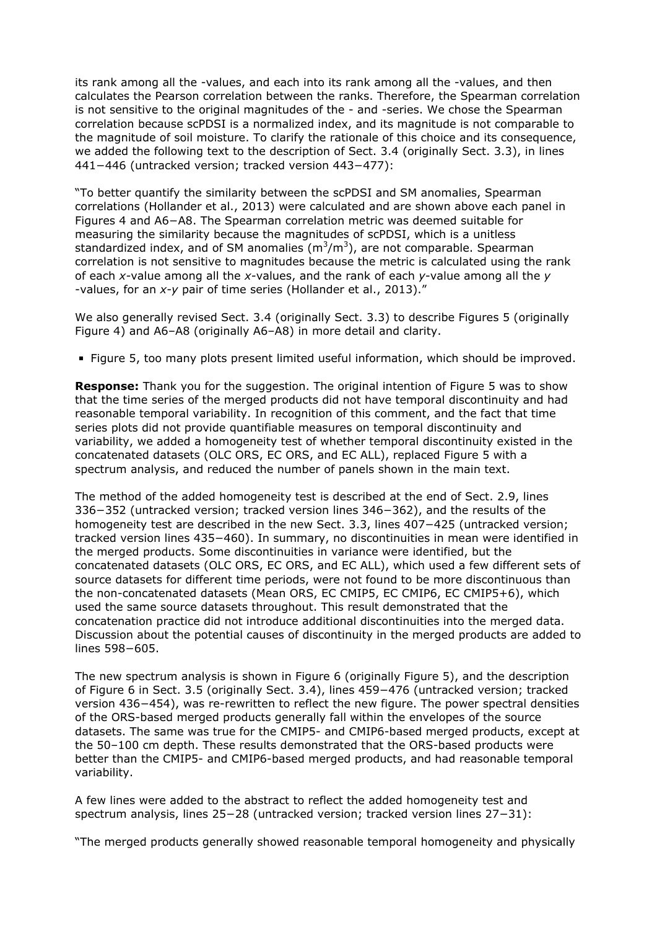its rank among all the -values, and each into its rank among all the -values, and then calculates the Pearson correlation between the ranks. Therefore, the Spearman correlation is not sensitive to the original magnitudes of the - and -series. We chose the Spearman correlation because scPDSI is a normalized index, and its magnitude is not comparable to the magnitude of soil moisture. To clarify the rationale of this choice and its consequence, we added the following text to the description of Sect. 3.4 (originally Sect. 3.3), in lines 441−446 (untracked version; tracked version 443−477):

"To better quantify the similarity between the scPDSI and SM anomalies, Spearman correlations (Hollander et al., 2013) were calculated and are shown above each panel in Figures 4 and A6−A8. The Spearman correlation metric was deemed suitable for measuring the similarity because the magnitudes of scPDSI, which is a unitless standardized index, and of SM anomalies  $(m^3/m^3)$ , are not comparable. Spearman correlation is not sensitive to magnitudes because the metric is calculated using the rank of each *x-*value among all the *x-*values, and the rank of each *y*-value among all the *y* -values, for an *x-y* pair of time series (Hollander et al., 2013)."

We also generally revised Sect. 3.4 (originally Sect. 3.3) to describe Figures 5 (originally Figure 4) and A6–A8 (originally A6–A8) in more detail and clarity.

Figure 5, too many plots present limited useful information, which should be improved.

**Response:** Thank you for the suggestion. The original intention of Figure 5 was to show that the time series of the merged products did not have temporal discontinuity and had reasonable temporal variability. In recognition of this comment, and the fact that time series plots did not provide quantifiable measures on temporal discontinuity and variability, we added a homogeneity test of whether temporal discontinuity existed in the concatenated datasets (OLC ORS, EC ORS, and EC ALL), replaced Figure 5 with a spectrum analysis, and reduced the number of panels shown in the main text.

The method of the added homogeneity test is described at the end of Sect. 2.9, lines 336−352 (untracked version; tracked version lines 346−362), and the results of the homogeneity test are described in the new Sect. 3.3, lines 407−425 (untracked version; tracked version lines 435−460). In summary, no discontinuities in mean were identified in the merged products. Some discontinuities in variance were identified, but the concatenated datasets (OLC ORS, EC ORS, and EC ALL), which used a few different sets of source datasets for different time periods, were not found to be more discontinuous than the non-concatenated datasets (Mean ORS, EC CMIP5, EC CMIP6, EC CMIP5+6), which used the same source datasets throughout. This result demonstrated that the concatenation practice did not introduce additional discontinuities into the merged data. Discussion about the potential causes of discontinuity in the merged products are added to lines 598−605.

The new spectrum analysis is shown in Figure 6 (originally Figure 5), and the description of Figure 6 in Sect. 3.5 (originally Sect. 3.4), lines 459−476 (untracked version; tracked version 436−454), was re-rewritten to reflect the new figure. The power spectral densities of the ORS-based merged products generally fall within the envelopes of the source datasets. The same was true for the CMIP5- and CMIP6-based merged products, except at the 50–100 cm depth. These results demonstrated that the ORS-based products were better than the CMIP5- and CMIP6-based merged products, and had reasonable temporal variability.

A few lines were added to the abstract to reflect the added homogeneity test and spectrum analysis, lines 25−28 (untracked version; tracked version lines 27−31):

"The merged products generally showed reasonable temporal homogeneity and physically